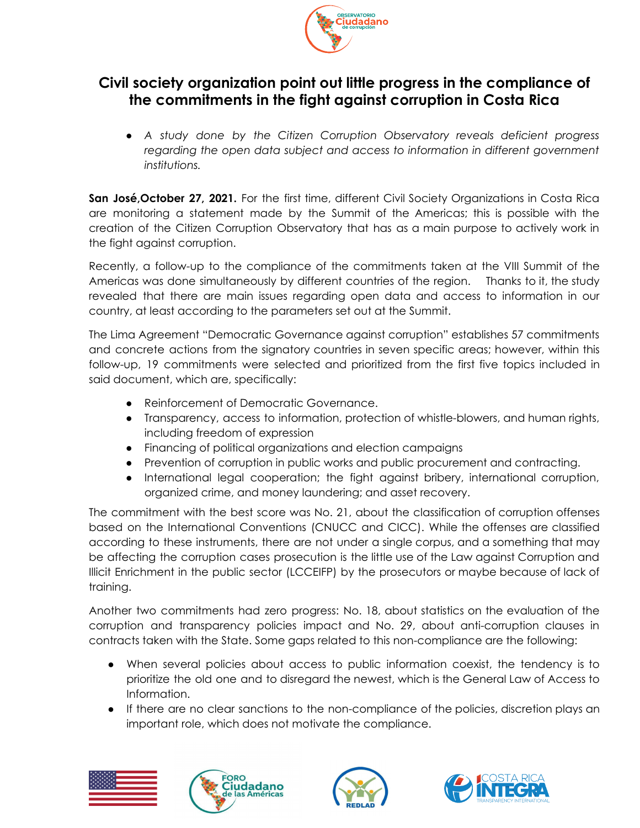

## **Civil society organization point out little progress in the compliance of the commitments in the fight against corruption in Costa Rica**

*● A study done by the Citizen Corruption Observatory reveals deficient progress regarding the open data subject and access to information in different government institutions.*

**San José,October 27, 2021.** For the first time, different Civil Society Organizations in Costa Rica are monitoring a statement made by the Summit of the Americas; this is possible with the creation of the Citizen Corruption Observatory that has as a main purpose to actively work in the fight against corruption.

Recently, a follow-up to the compliance of the commitments taken at the VIII Summit of the Americas was done simultaneously by different countries of the region. Thanks to it, the study revealed that there are main issues regarding open data and access to information in our country, at least according to the parameters set out at the Summit.

The Lima Agreement "Democratic Governance against corruption" establishes 57 commitments and concrete actions from the signatory countries in seven specific areas; however, within this follow-up, 19 commitments were selected and prioritized from the first five topics included in said document, which are, specifically:

- Reinforcement of Democratic Governance.
- Transparency, access to information, protection of whistle-blowers, and human rights, including freedom of expression
- Financing of political organizations and election campaigns
- Prevention of corruption in public works and public procurement and contracting.
- International legal cooperation; the fight against bribery, international corruption, organized crime, and money laundering; and asset recovery.

The commitment with the best score was No. 21, about the classification of corruption offenses based on the International Conventions (CNUCC and CICC). While the offenses are classified according to these instruments, there are not under a single corpus, and a something that may be affecting the corruption cases prosecution is the little use of the Law against Corruption and Illicit Enrichment in the public sector (LCCEIFP) by the prosecutors or maybe because of lack of training.

Another two commitments had zero progress: No. 18, about statistics on the evaluation of the corruption and transparency policies impact and No. 29, about anti-corruption clauses in contracts taken with the State. Some gaps related to this non-compliance are the following:

- When several policies about access to public information coexist, the tendency is to prioritize the old one and to disregard the newest, which is the General Law of Access to Information.
- If there are no clear sanctions to the non-compliance of the policies, discretion plays an important role, which does not motivate the compliance.